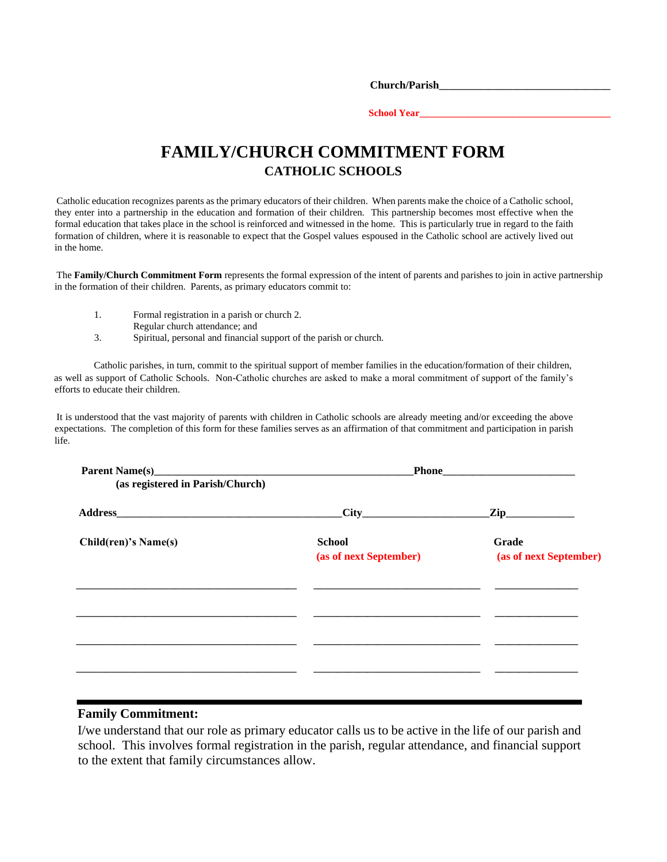**Church/Parish\_\_\_\_\_\_\_\_\_\_\_\_\_\_\_\_\_\_\_\_\_\_\_\_\_\_\_\_\_\_\_\_\_\_\_** 

School Year\_

## **FAMILY/CHURCH COMMITMENT FORM CATHOLIC SCHOOLS**

Catholic education recognizes parents as the primary educators of their children. When parents make the choice of a Catholic school, they enter into a partnership in the education and formation of their children. This partnership becomes most effective when the formal education that takes place in the school is reinforced and witnessed in the home. This is particularly true in regard to the faith formation of children, where it is reasonable to expect that the Gospel values espoused in the Catholic school are actively lived out in the home.

The **Family/Church Commitment Form** represents the formal expression of the intent of parents and parishes to join in active partnership in the formation of their children. Parents, as primary educators commit to:

- 1. Formal registration in a parish or church 2.
	- Regular church attendance; and
- 3. Spiritual, personal and financial support of the parish or church.

Catholic parishes, in turn, commit to the spiritual support of member families in the education/formation of their children, as well as support of Catholic Schools. Non-Catholic churches are asked to make a moral commitment of support of the family's efforts to educate their children.

It is understood that the vast majority of parents with children in Catholic schools are already meeting and/or exceeding the above expectations. The completion of this form for these families serves as an affirmation of that commitment and participation in parish life.

| (as registered in Parish/Church) |                                         |                                 |  |
|----------------------------------|-----------------------------------------|---------------------------------|--|
|                                  | $\text{City}$                           | $\chi$ ip                       |  |
| Child(ren)'s Name(s)             | <b>School</b><br>(as of next September) | Grade<br>(as of next September) |  |
|                                  |                                         |                                 |  |
|                                  |                                         |                                 |  |
|                                  |                                         |                                 |  |

## **Family Commitment:**

I/we understand that our role as primary educator calls us to be active in the life of our parish and school. This involves formal registration in the parish, regular attendance, and financial support to the extent that family circumstances allow.